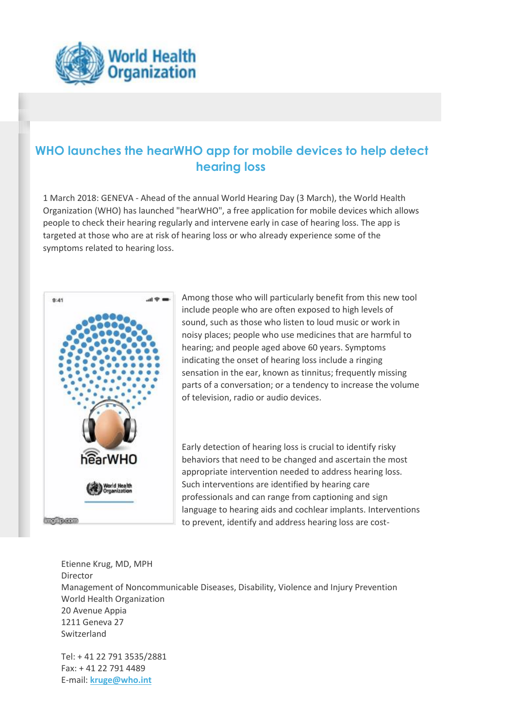

## **WHO launches the hearWHO app for mobile devices to help detect hearing loss**

1 March 2018: GENEVA - Ahead of the annual World Hearing Day (3 March), the World Health Organization (WHO) has launched "hearWHO", a free application for mobile devices which allows people to check their hearing regularly and intervene early in case of hearing loss. The app is targeted at those who are at risk of hearing loss or who already experience some of the symptoms related to hearing loss.



Among those who will particularly benefit from this new tool include people who are often exposed to high levels of sound, such as those who listen to loud music or work in noisy places; people who use medicines that are harmful to hearing; and people aged above 60 years. Symptoms indicating the onset of hearing loss include a ringing sensation in the ear, known as tinnitus; frequently missing parts of a conversation; or a tendency to increase the volume of television, radio or audio devices.

Early detection of hearing loss is crucial to identify risky behaviors that need to be changed and ascertain the most appropriate intervention needed to address hearing loss. Such interventions are identified by hearing care professionals and can range from captioning and sign language to hearing aids and cochlear implants. Interventions to prevent, identify and address hearing loss are cost-

Etienne Krug, MD, MPH Director Management of Noncommunicable Diseases, Disability, Violence and Injury Prevention World Health Organization 20 Avenue Appia 1211 Geneva 27 Switzerland

Tel: + 41 22 791 3535/2881 Fax: + 41 22 791 4489 E-mail: **[kruge@who.int](mailto:kruge@who.int)**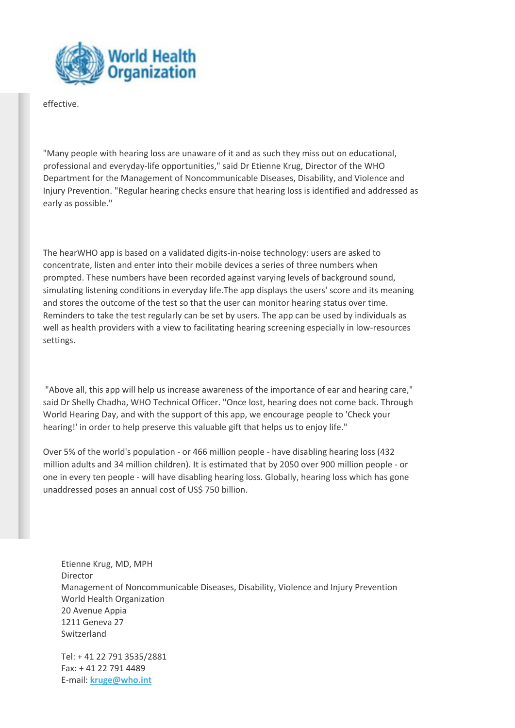

effective.

"Many people with hearing loss are unaware of it and as such they miss out on educational, professional and everyday-life opportunities," said Dr Etienne Krug, Director of the WHO Department for the Management of Noncommunicable Diseases, Disability, and Violence and Injury Prevention. "Regular hearing checks ensure that hearing loss is identified and addressed as early as possible."

The hearWHO app is based on a validated digits-in-noise technology: users are asked to concentrate, listen and enter into their mobile devices a series of three numbers when prompted. These numbers have been recorded against varying levels of background sound, simulating listening conditions in everyday life.The app displays the users' score and its meaning and stores the outcome of the test so that the user can monitor hearing status over time. Reminders to take the test regularly can be set by users. The app can be used by individuals as well as health providers with a view to facilitating hearing screening especially in low-resources settings.

"Above all, this app will help us increase awareness of the importance of ear and hearing care," said Dr Shelly Chadha, WHO Technical Officer. "Once lost, hearing does not come back. Through World Hearing Day, and with the support of this app, we encourage people to 'Check your hearing!' in order to help preserve this valuable gift that helps us to enjoy life."

Over 5% of the world's population - or 466 million people - have disabling hearing loss (432 million adults and 34 million children). It is estimated that by 2050 over 900 million people - or one in every ten people - will have disabling hearing loss. Globally, hearing loss which has gone unaddressed poses an annual cost of US\$ 750 billion.

Etienne Krug, MD, MPH Director Management of Noncommunicable Diseases, Disability, Violence and Injury Prevention World Health Organization 20 Avenue Appia 1211 Geneva 27 Switzerland

Tel: + 41 22 791 3535/2881 Fax: + 41 22 791 4489 E-mail: **[kruge@who.int](mailto:kruge@who.int)**